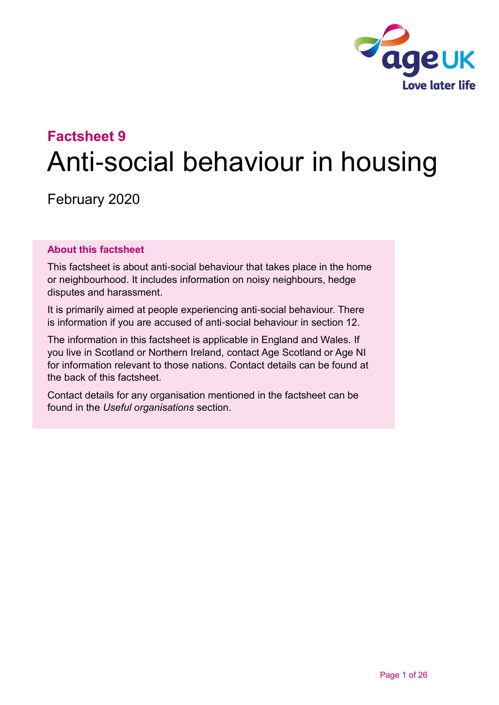

# **Factsheet 9** Anti-social behaviour in housing

February 2020

#### **About this factsheet**

This factsheet is about anti-social behaviour that takes place in the home or neighbourhood. It includes information on noisy neighbours, hedge disputes and harassment.

It is primarily aimed at people experiencing anti-social behaviour. There is information if you are accused of anti-social behaviour in [section 12.](#page-15-0)

The information in this factsheet is applicable in England and Wales. If you live in Scotland or Northern Ireland, contact [Age Scotland or Age NI](#page-24-0) for information relevant to those nations. Contact details can be found at the back of this factsheet.

Contact details for any organisation mentioned in the factsheet can be found in the *[Useful organisations](#page-20-0)* section.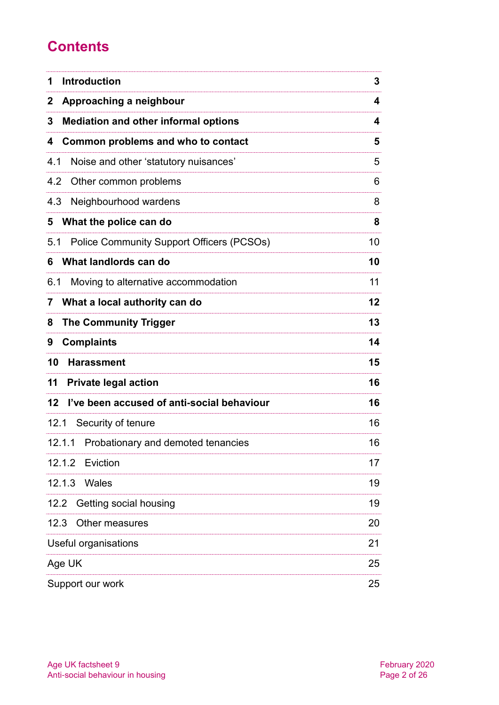# **Contents**

| <b>Introduction</b><br>1                         | 3  |
|--------------------------------------------------|----|
| Approaching a neighbour<br>2                     | 4  |
| <b>Mediation and other informal options</b><br>3 | 4  |
| Common problems and who to contact<br>4          | 5  |
| 4.1<br>Noise and other 'statutory nuisances'     | 5  |
| 4.2<br>Other common problems                     | 6  |
| 4.3<br>Neighbourhood wardens                     | 8  |
| What the police can do<br>5                      | 8  |
| 5.1<br>Police Community Support Officers (PCSOs) | 10 |
| What landlords can do<br>6                       | 10 |
| 6.1<br>Moving to alternative accommodation       | 11 |
| What a local authority can do<br>7               | 12 |
| <b>The Community Trigger</b><br>8                | 13 |
| <b>Complaints</b><br>9                           | 14 |
| 10<br><b>Harassment</b>                          | 15 |
| 11<br><b>Private legal action</b>                | 16 |
| I've been accused of anti-social behaviour<br>12 | 16 |
| 12.1 Security of tenure                          | 16 |
| 12.1.1 Probationary and demoted tenancies        | 16 |
| 12.1.2<br>Eviction                               | 17 |
| 12.1.3<br>Wales                                  | 19 |
| Getting social housing<br>12.2                   | 19 |
| Other measures<br>12.3                           | 20 |
| Useful organisations                             | 21 |
| Age UK                                           | 25 |
| Support our work                                 | 25 |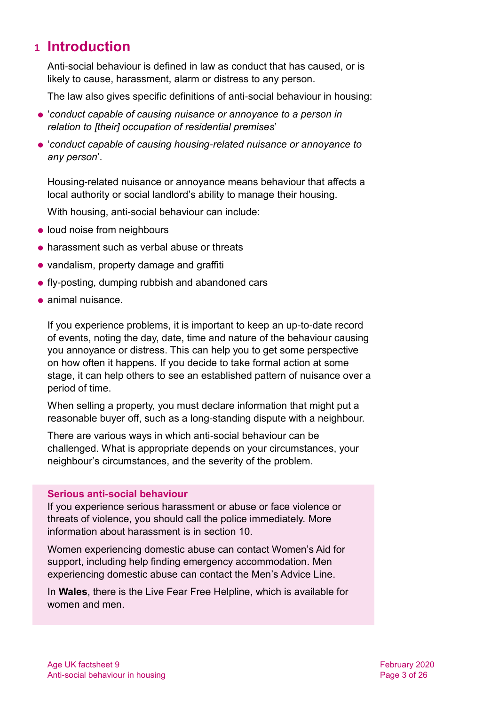# <span id="page-2-0"></span>**1 Introduction**

Anti-social behaviour is defined in law as conduct that has caused, or is likely to cause, harassment, alarm or distress to any person.

The law also gives specific definitions of anti-social behaviour in housing:

- '*conduct capable of causing nuisance or annoyance to a person in relation to [their] occupation of residential premises*'
- '*conduct capable of causing housing-related nuisance or annoyance to any person*'.

Housing-related nuisance or annoyance means behaviour that affects a local authority or social landlord's ability to manage their housing.

With housing, anti-social behaviour can include:

- loud noise from neighbours
- **harassment such as verbal abuse or threats**
- vandalism, property damage and graffiti
- **fly-posting, dumping rubbish and abandoned cars**
- animal nuisance.

If you experience problems, it is important to keep an up-to-date record of events, noting the day, date, time and nature of the behaviour causing you annoyance or distress. This can help you to get some perspective on how often it happens. If you decide to take formal action at some stage, it can help others to see an established pattern of nuisance over a period of time.

When selling a property, you must declare information that might put a reasonable buyer off, such as a long-standing dispute with a neighbour.

There are various ways in which anti-social behaviour can be challenged. What is appropriate depends on your circumstances, your neighbour's circumstances, and the severity of the problem.

#### **Serious anti-social behaviour**

If you experience serious harassment or abuse or face violence or threats of violence, you should call the police immediately. More information about harassment is in [section 10.](#page-14-0)

Women experiencing domestic abuse can contact [Women's Aid](https://www.womensaid.org.uk/) for support, including help finding emergency accommodation. Men experiencing domestic abuse can contact the [Men's Advice Line.](http://www.mensadviceline.org.uk/)

In **Wales**, there is the [Live Fear Free Helpline,](https://gov.wales/live-fear-free) which is available for women and men.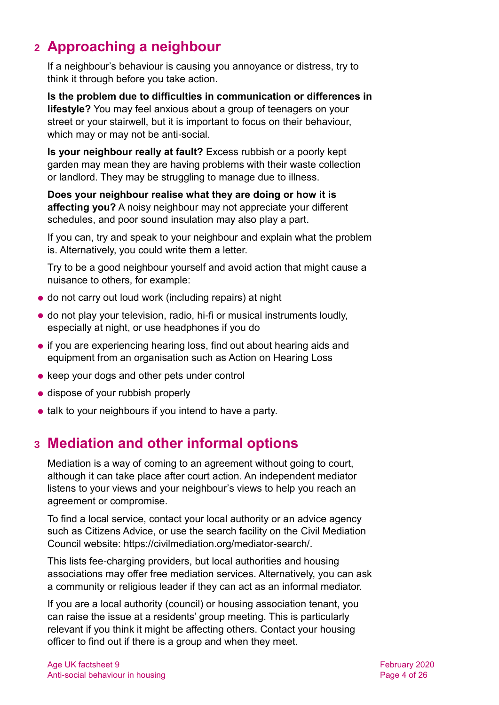# <span id="page-3-0"></span>**2 Approaching a neighbour**

If a neighbour's behaviour is causing you annoyance or distress, try to think it through before you take action.

**Is the problem due to difficulties in communication or differences in lifestyle?** You may feel anxious about a group of teenagers on your street or your stairwell, but it is important to focus on their behaviour, which may or may not be anti-social.

**Is your neighbour really at fault?** Excess rubbish or a poorly kept garden may mean they are having problems with their waste collection or landlord. They may be struggling to manage due to illness.

**Does your neighbour realise what they are doing or how it is affecting you?** A noisy neighbour may not appreciate your different schedules, and poor sound insulation may also play a part.

If you can, try and speak to your neighbour and explain what the problem is. Alternatively, you could write them a letter.

Try to be a good neighbour yourself and avoid action that might cause a nuisance to others, for example:

- do not carry out loud work (including repairs) at night
- do not play your television, radio, hi-fi or musical instruments loudly, especially at night, or use headphones if you do
- if you are experiencing hearing loss, find out about hearing aids and equipment from an organisation such as [Action on Hearing Loss](https://www.actiononhearingloss.org.uk/)
- keep your dogs and other pets under control
- dispose of your rubbish properly
- <span id="page-3-1"></span>• talk to your neighbours if you intend to have a party.

# **3 Mediation and other informal options**

Mediation is a way of coming to an agreement without going to court, although it can take place after court action. An independent mediator listens to your views and your neighbour's views to help you reach an agreement or compromise.

To find a local service, contact your local authority or an advice agency such as [Citizens Advice,](http://www.citizensadvice.org.uk/) or use the search facility on the Civil Mediation Council website: [https://civilmediation.org/mediator-search/.](https://civilmediation.org/mediator-search/)

This lists fee-charging providers, but local authorities and housing associations may offer free mediation services. Alternatively, you can ask a community or religious leader if they can act as an informal mediator.

If you are a local authority (council) or housing association tenant, you can raise the issue at a residents' group meeting. This is particularly relevant if you think it might be affecting others. Contact your housing officer to find out if there is a group and when they meet.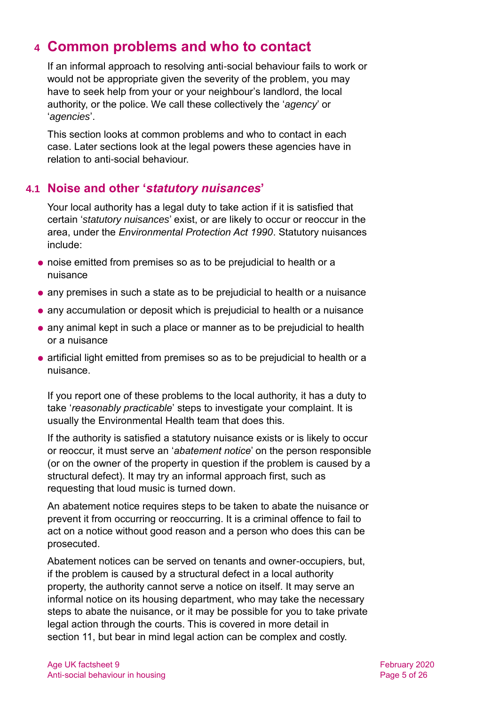# <span id="page-4-0"></span>**4 Common problems and who to contact**

If an informal approach to resolving anti-social behaviour fails to work or would not be appropriate given the severity of the problem, you may have to seek help from your or your neighbour's landlord, the local authority, or the police. We call these collectively the '*agency*' or '*agencies*'.

This section looks at common problems and who to contact in each case. Later sections look at the legal powers these agencies have in relation to anti-social behaviour.

# <span id="page-4-1"></span>**4.1 Noise and other '***statutory nuisances***'**

Your local authority has a legal duty to take action if it is satisfied that certain '*statutory nuisances*' exist, or are likely to occur or reoccur in the area, under the *Environmental Protection Act 1990*. Statutory nuisances include:

- noise emitted from premises so as to be prejudicial to health or a nuisance
- any premises in such a state as to be prejudicial to health or a nuisance
- any accumulation or deposit which is prejudicial to health or a nuisance
- any animal kept in such a place or manner as to be prejudicial to health or a nuisance
- artificial light emitted from premises so as to be prejudicial to health or a nuisance.

If you report one of these problems to the local authority, it has a duty to take '*reasonably practicable*' steps to investigate your complaint. It is usually the Environmental Health team that does this.

If the authority is satisfied a statutory nuisance exists or is likely to occur or reoccur, it must serve an '*abatement notice*' on the person responsible (or on the owner of the property in question if the problem is caused by a structural defect). It may try an informal approach first, such as requesting that loud music is turned down.

An abatement notice requires steps to be taken to abate the nuisance or prevent it from occurring or reoccurring. It is a criminal offence to fail to act on a notice without good reason and a person who does this can be prosecuted.

Abatement notices can be served on tenants and owner-occupiers, but, if the problem is caused by a structural defect in a local authority property, the authority cannot serve a notice on itself. It may serve an informal notice on its housing department, who may take the necessary steps to abate the nuisance, or it may be possible for you to take private legal action through the courts. This is covered in more detail in [section 11,](#page-15-1) but bear in mind legal action can be complex and costly.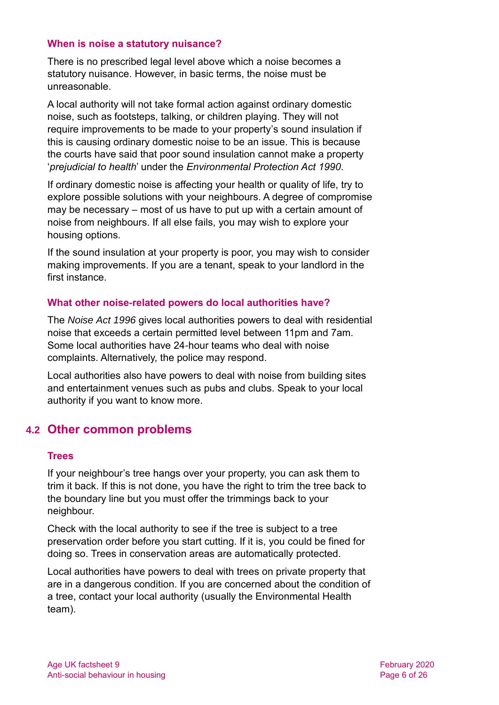#### **When is noise a statutory nuisance?**

There is no prescribed legal level above which a noise becomes a statutory nuisance. However, in basic terms, the noise must be unreasonable.

A local authority will not take formal action against ordinary domestic noise, such as footsteps, talking, or children playing. They will not require improvements to be made to your property's sound insulation if this is causing ordinary domestic noise to be an issue. This is because the courts have said that poor sound insulation cannot make a property '*prejudicial to health*' under the *Environmental Protection Act 1990*.

If ordinary domestic noise is affecting your health or quality of life, try to explore possible solutions with your neighbours. A degree of compromise may be necessary – most of us have to put up with a certain amount of noise from neighbours. If all else fails, you may wish to explore your housing options.

If the sound insulation at your property is poor, you may wish to consider making improvements. If you are a tenant, speak to your landlord in the first instance.

#### **What other noise-related powers do local authorities have?**

The *Noise Act 1996* gives local authorities powers to deal with residential noise that exceeds a certain permitted level between 11pm and 7am. Some local authorities have 24-hour teams who deal with noise complaints. Alternatively, the police may respond.

Local authorities also have powers to deal with noise from building sites and entertainment venues such as pubs and clubs. Speak to your local authority if you want to know more.

# **4.2 Other common problems**

#### **Trees**

If your neighbour's tree hangs over your property, you can ask them to trim it back. If this is not done, you have the right to trim the tree back to the boundary line but you must offer the trimmings back to your neighbour.

Check with the local authority to see if the tree is subject to a tree preservation order before you start cutting. If it is, you could be fined for doing so. Trees in conservation areas are automatically protected.

Local authorities have powers to deal with trees on private property that are in a dangerous condition. If you are concerned about the condition of a tree, contact your local authority (usually the Environmental Health team).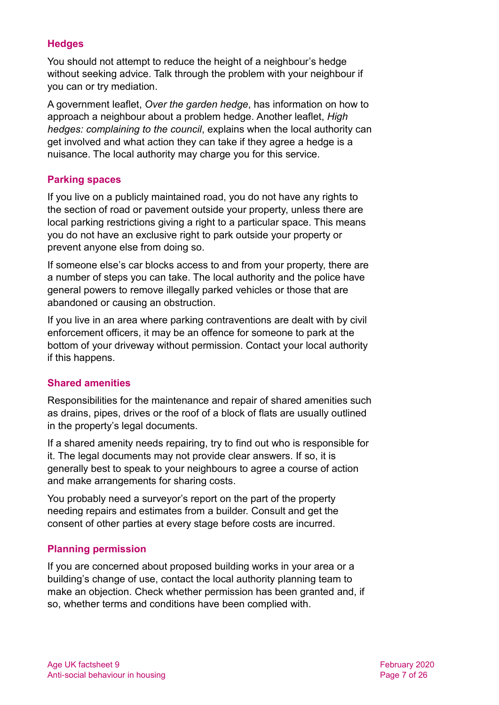# **Hedges**

You should not attempt to reduce the height of a neighbour's hedge without seeking advice. Talk through the problem with your neighbour if you can or try mediation.

A government leaflet, *[Over the garden hedge](https://www.gov.uk/government/publications/over-the-garden-hedge)*, has information on how to approach a neighbour about a problem hedge. Another leaflet, *[High](https://www.gov.uk/government/publications/high-hedges-complaining-to-the-council)  [hedges: complaining to the council](https://www.gov.uk/government/publications/high-hedges-complaining-to-the-council)*, explains when the local authority can get involved and what action they can take if they agree a hedge is a nuisance. The local authority may charge you for this service.

# **Parking spaces**

If you live on a publicly maintained road, you do not have any rights to the section of road or pavement outside your property, unless there are local parking restrictions giving a right to a particular space. This means you do not have an exclusive right to park outside your property or prevent anyone else from doing so.

If someone else's car blocks access to and from your property, there are a number of steps you can take. The local authority and the police have general powers to remove illegally parked vehicles or those that are abandoned or causing an obstruction.

If you live in an area where parking contraventions are dealt with by civil enforcement officers, it may be an offence for someone to park at the bottom of your driveway without permission. Contact your local authority if this happens.

# **Shared amenities**

Responsibilities for the maintenance and repair of shared amenities such as drains, pipes, drives or the roof of a block of flats are usually outlined in the property's legal documents.

If a shared amenity needs repairing, try to find out who is responsible for it. The legal documents may not provide clear answers. If so, it is generally best to speak to your neighbours to agree a course of action and make arrangements for sharing costs.

You probably need a surveyor's report on the part of the property needing repairs and estimates from a builder. Consult and get the consent of other parties at every stage before costs are incurred.

# **Planning permission**

If you are concerned about proposed building works in your area or a building's change of use, contact the local authority planning team to make an objection. Check whether permission has been granted and, if so, whether terms and conditions have been complied with.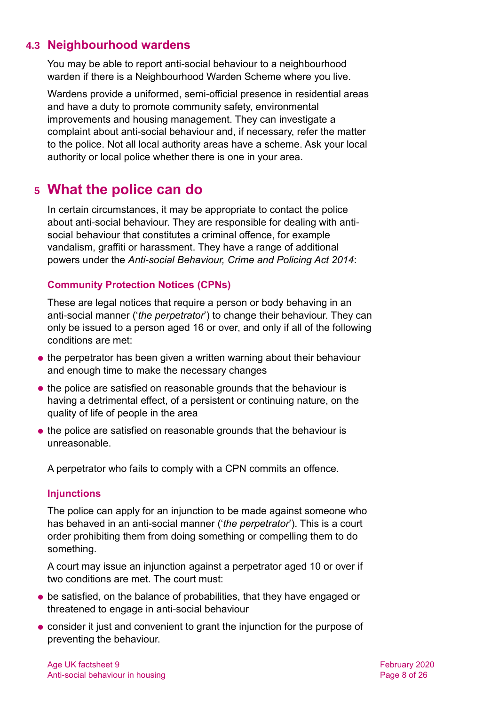# **4.3 Neighbourhood wardens**

You may be able to report anti-social behaviour to a neighbourhood warden if there is a Neighbourhood Warden Scheme where you live.

Wardens provide a uniformed, semi-official presence in residential areas and have a duty to promote community safety, environmental improvements and housing management. They can investigate a complaint about anti-social behaviour and, if necessary, refer the matter to the police. Not all local authority areas have a scheme. Ask your local authority or local police whether there is one in your area.

# <span id="page-7-0"></span>**5 What the police can do**

In certain circumstances, it may be appropriate to contact the police about anti-social behaviour. They are responsible for dealing with antisocial behaviour that constitutes a criminal offence, for example vandalism, graffiti or harassment. They have a range of additional powers under the *Anti-social Behaviour, Crime and Policing Act 2014*:

# **Community Protection Notices (CPNs)**

These are legal notices that require a person or body behaving in an anti-social manner ('*the perpetrator*') to change their behaviour. They can only be issued to a person aged 16 or over, and only if all of the following conditions are met:

- the perpetrator has been given a written warning about their behaviour and enough time to make the necessary changes
- the police are satisfied on reasonable grounds that the behaviour is having a detrimental effect, of a persistent or continuing nature, on the quality of life of people in the area
- the police are satisfied on reasonable grounds that the behaviour is unreasonable.

A perpetrator who fails to comply with a CPN commits an offence.

# **Injunctions**

The police can apply for an injunction to be made against someone who has behaved in an anti-social manner ('*the perpetrator*'). This is a court order prohibiting them from doing something or compelling them to do something.

A court may issue an injunction against a perpetrator aged 10 or over if two conditions are met. The court must:

- be satisfied, on the balance of probabilities, that they have engaged or threatened to engage in anti-social behaviour
- consider it just and convenient to grant the injunction for the purpose of preventing the behaviour.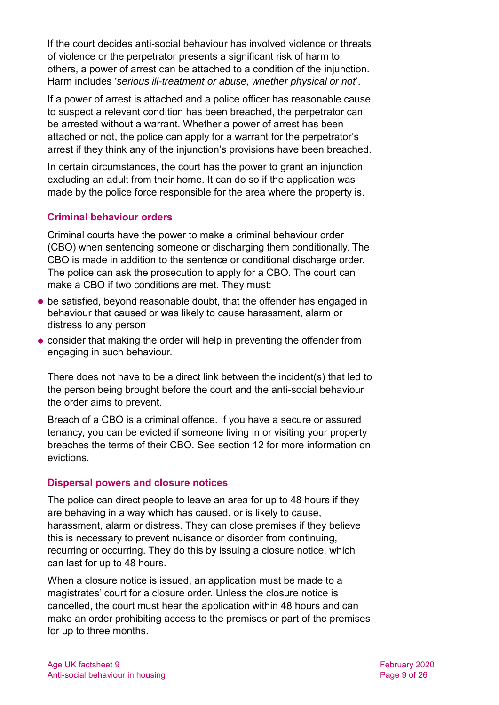If the court decides anti-social behaviour has involved violence or threats of violence or the perpetrator presents a significant risk of harm to others, a power of arrest can be attached to a condition of the injunction. Harm includes '*serious ill-treatment or abuse, whether physical or not*'.

If a power of arrest is attached and a police officer has reasonable cause to suspect a relevant condition has been breached, the perpetrator can be arrested without a warrant. Whether a power of arrest has been attached or not, the police can apply for a warrant for the perpetrator's arrest if they think any of the injunction's provisions have been breached.

In certain circumstances, the court has the power to grant an injunction excluding an adult from their home. It can do so if the application was made by the police force responsible for the area where the property is.

# **Criminal behaviour orders**

Criminal courts have the power to make a criminal behaviour order (CBO) when sentencing someone or discharging them conditionally. The CBO is made in addition to the sentence or conditional discharge order. The police can ask the prosecution to apply for a CBO. The court can make a CBO if two conditions are met. They must:

- be satisfied, beyond reasonable doubt, that the offender has engaged in behaviour that caused or was likely to cause harassment, alarm or distress to any person
- consider that making the order will help in preventing the offender from engaging in such behaviour.

There does not have to be a direct link between the incident(s) that led to the person being brought before the court and the anti-social behaviour the order aims to prevent.

Breach of a CBO is a criminal offence. If you have a secure or assured tenancy, you can be evicted if someone living in or visiting your property breaches the terms of their CBO. See [section 12](#page-15-0) for more information on evictions.

# **Dispersal powers and closure notices**

The police can direct people to leave an area for up to 48 hours if they are behaving in a way which has caused, or is likely to cause, harassment, alarm or distress. They can close premises if they believe this is necessary to prevent nuisance or disorder from continuing, recurring or occurring. They do this by issuing a closure notice, which can last for up to 48 hours.

When a closure notice is issued, an application must be made to a magistrates' court for a closure order. Unless the closure notice is cancelled, the court must hear the application within 48 hours and can make an order prohibiting access to the premises or part of the premises for up to three months.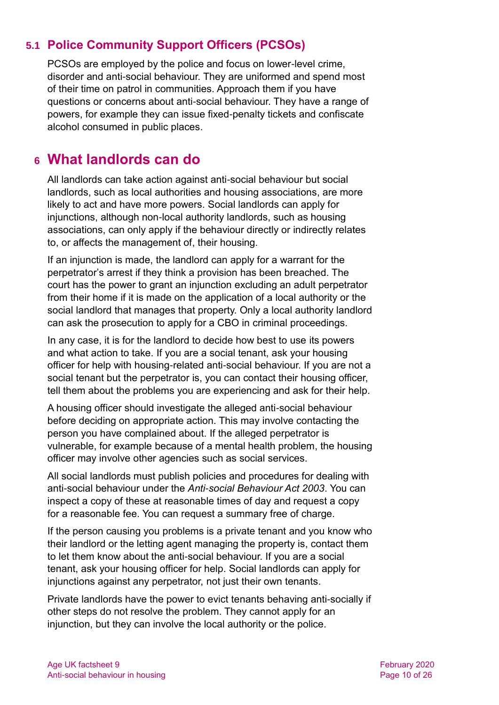# **5.1 Police Community Support Officers (PCSOs)**

PCSOs are employed by the police and focus on lower-level crime, disorder and anti-social behaviour. They are uniformed and spend most of their time on patrol in communities. Approach them if you have questions or concerns about anti-social behaviour. They have a range of powers, for example they can issue fixed-penalty tickets and confiscate alcohol consumed in public places.

# <span id="page-9-0"></span>**6 What landlords can do**

<span id="page-9-1"></span>All landlords can take action against anti-social behaviour but social landlords, such as local authorities and housing associations, are more likely to act and have more powers. Social landlords can apply for injunctions, although non-local authority landlords, such as housing associations, can only apply if the behaviour directly or indirectly relates to, or affects the management of, their housing.

If an injunction is made, the landlord can apply for a warrant for the perpetrator's arrest if they think a provision has been breached. The court has the power to grant an injunction excluding an adult perpetrator from their home if it is made on the application of a local authority or the social landlord that manages that property. Only a local authority landlord can ask the prosecution to apply for a CBO in criminal proceedings.

In any case, it is for the landlord to decide how best to use its powers and what action to take. If you are a social tenant, ask your housing officer for help with housing-related anti-social behaviour. If you are not a social tenant but the perpetrator is, you can contact their housing officer, tell them about the problems you are experiencing and ask for their help.

A housing officer should investigate the alleged anti-social behaviour before deciding on appropriate action. This may involve contacting the person you have complained about. If the alleged perpetrator is vulnerable, for example because of a mental health problem, the housing officer may involve other agencies such as social services.

All social landlords must publish policies and procedures for dealing with anti-social behaviour under the *Anti-social Behaviour Act 2003*. You can inspect a copy of these at reasonable times of day and request a copy for a reasonable fee. You can request a summary free of charge.

If the person causing you problems is a private tenant and you know who their landlord or the letting agent managing the property is, contact them to let them know about the anti-social behaviour. If you are a social tenant, ask your housing officer for help. Social landlords can apply for injunctions against any perpetrator, not just their own tenants.

Private landlords have the power to evict tenants behaving anti-socially if other steps do not resolve the problem. They cannot apply for an injunction, but they can involve the local authority or the police.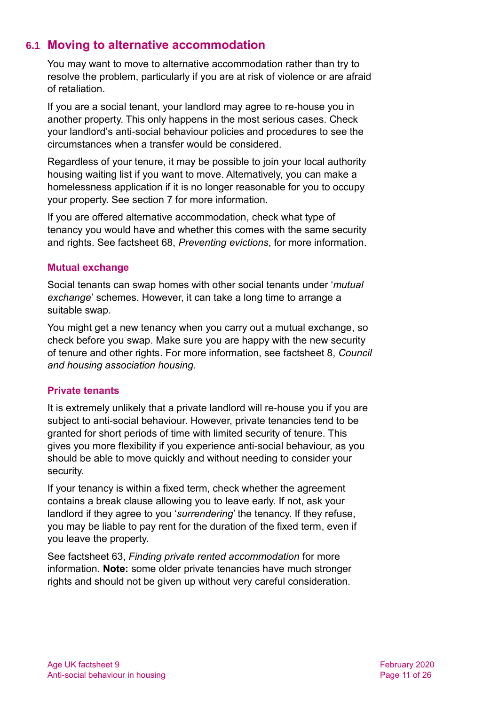# <span id="page-10-0"></span>**6.1 Moving to alternative accommodation**

You may want to move to alternative accommodation rather than try to resolve the problem, particularly if you are at risk of violence or are afraid of retaliation.

If you are a social tenant, your landlord may agree to re-house you in another property. This only happens in the most serious cases. Check your landlord's anti-social behaviour policies and procedures to see the circumstances when a transfer would be considered.

Regardless of your tenure, it may be possible to join your local authority housing waiting list if you want to move. Alternatively, you can make a homelessness application if it is no longer reasonable for you to occupy your property. See [section 7](#page-11-0) for more information.

If you are offered alternative accommodation, check what type of tenancy you would have and whether this comes with the same security and rights. See [factsheet 68,](https://www.ageuk.org.uk/globalassets/age-uk/documents/factsheets/fs68_tenancy_rights_security_of_tenure_fcs.pdf) *Preventing evictions*, for more information.

# **Mutual exchange**

Social tenants can swap homes with other social tenants under '*mutual exchange*' schemes. However, it can take a long time to arrange a suitable swap.

You might get a new tenancy when you carry out a mutual exchange, so check before you swap. Make sure you are happy with the new security of tenure and other rights. For more information, see [factsheet 8,](https://www.ageuk.org.uk/globalassets/age-uk/documents/factsheets/fs8_council_and_housing_association_housing_fcs.pdf) *Council [and housing association housing.](https://www.ageuk.org.uk/globalassets/age-uk/documents/factsheets/fs8_council_and_housing_association_housing_fcs.pdf)*

# **Private tenants**

It is extremely unlikely that a private landlord will re-house you if you are subject to anti-social behaviour. However, private tenancies tend to be granted for short periods of time with limited security of tenure. This gives you more flexibility if you experience anti-social behaviour, as you should be able to move quickly and without needing to consider your security.

If your tenancy is within a fixed term, check whether the agreement contains a break clause allowing you to leave early. If not, ask your landlord if they agree to you '*surrendering*' the tenancy. If they refuse, you may be liable to pay rent for the duration of the fixed term, even if you leave the property.

See factsheet 63, *[Finding private rented accommodation](https://www.ageuk.org.uk/globalassets/age-uk/documents/factsheets/fs63_finding_private_rented_accommodation_fcs.pdf)* for more information. **Note:** some older private tenancies have much stronger rights and should not be given up without very careful consideration.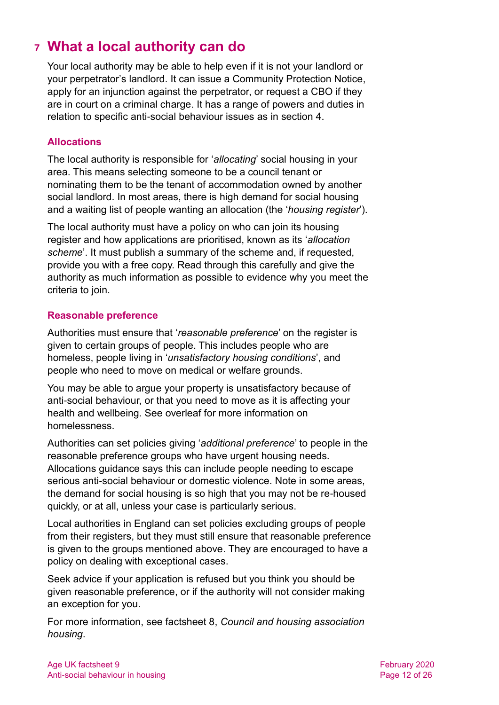# <span id="page-11-0"></span>**7 What a local authority can do**

Your local authority may be able to help even if it is not your landlord or your perpetrator's landlord. It can issue a Community Protection Notice, apply for an injunction against the perpetrator, or request a CBO if they are in court on a criminal charge. It has a range of powers and duties in relation to specific anti-social behaviour issues as in [section 4.](#page-4-0)

# **Allocations**

The local authority is responsible for '*allocating*' social housing in your area. This means selecting someone to be a council tenant or nominating them to be the tenant of accommodation owned by another social landlord. In most areas, there is high demand for social housing and a waiting list of people wanting an allocation (the '*housing register*').

The local authority must have a policy on who can join its housing register and how applications are prioritised, known as its '*allocation scheme*'. It must publish a summary of the scheme and, if requested, provide you with a free copy. Read through this carefully and give the authority as much information as possible to evidence why you meet the criteria to join.

# **Reasonable preference**

Authorities must ensure that '*reasonable preference*' on the register is given to certain groups of people. This includes people who are homeless, people living in '*unsatisfactory housing conditions*', and people who need to move on medical or welfare grounds.

You may be able to argue your property is unsatisfactory because of anti-social behaviour, or that you need to move as it is affecting your health and wellbeing. See overleaf for more information on homelessness.

Authorities can set policies giving '*additional preference*' to people in the reasonable preference groups who have urgent housing needs. Allocations guidance says this can include people needing to escape serious anti-social behaviour or domestic violence. Note in some areas, the demand for social housing is so high that you may not be re-housed quickly, or at all, unless your case is particularly serious.

Local authorities in England can set policies excluding groups of people from their registers, but they must still ensure that reasonable preference is given to the groups mentioned above. They are encouraged to have a policy on dealing with exceptional cases.

Seek advice if your application is refused but you think you should be given reasonable preference, or if the authority will not consider making an exception for you.

For more information, see factsheet 8, *[Council and housing association](https://www.ageuk.org.uk/globalassets/age-uk/documents/factsheets/fs8_council_and_housing_association_housing_fcs.pdf)  [housing](https://www.ageuk.org.uk/globalassets/age-uk/documents/factsheets/fs8_council_and_housing_association_housing_fcs.pdf)*.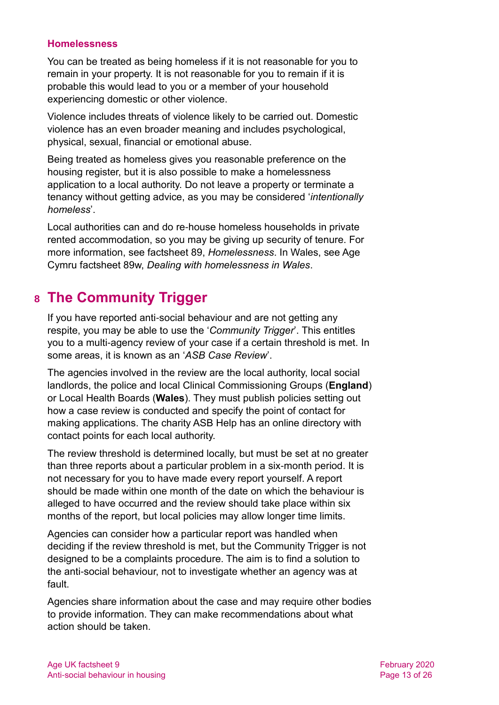#### **Homelessness**

You can be treated as being homeless if it is not reasonable for you to remain in your property. It is not reasonable for you to remain if it is probable this would lead to you or a member of your household experiencing domestic or other violence.

Violence includes threats of violence likely to be carried out. Domestic violence has an even broader meaning and includes psychological, physical, sexual, financial or emotional abuse.

Being treated as homeless gives you reasonable preference on the housing register, but it is also possible to make a homelessness application to a local authority. Do not leave a property or terminate a tenancy without getting advice, as you may be considered '*intentionally homeless*'.

Local authorities can and do re-house homeless households in private rented accommodation, so you may be giving up security of tenure. For more information, [see factsheet 89,](https://www.ageuk.org.uk/globalassets/age-uk/documents/factsheets/fs89_homelessness_fcs.pdf) *Homelessness*. In Wales, see Age Cymru factsheet 89w, *[Dealing with homelessness in Wales](https://www.ageuk.org.uk/globalassets/age-cymru/documents/information-guides-and-factsheets/fs89w.pdf)*.

# <span id="page-12-0"></span>**8 The Community Trigger**

If you have reported anti-social behaviour and are not getting any respite, you may be able to use the '*Community Trigger*'. This entitles you to a multi-agency review of your case if a certain threshold is met. In some areas, it is known as an '*ASB Case Review*'.

The agencies involved in the review are the local authority, local social landlords, the police and local Clinical Commissioning Groups (**England**) or Local Health Boards (**Wales**). They must publish policies setting out how a case review is conducted and specify the point of contact for making applications. The charity [ASB Help](https://asbhelp.co.uk/) has an online directory with contact points for each local authority.

The review threshold is determined locally, but must be set at no greater than three reports about a particular problem in a six-month period. It is not necessary for you to have made every report yourself. A report should be made within one month of the date on which the behaviour is alleged to have occurred and the review should take place within six months of the report, but local policies may allow longer time limits.

Agencies can consider how a particular report was handled when deciding if the review threshold is met, but the Community Trigger is not designed to be a complaints procedure. The aim is to find a solution to the anti-social behaviour, not to investigate whether an agency was at fault.

Agencies share information about the case and may require other bodies to provide information. They can make recommendations about what action should be taken.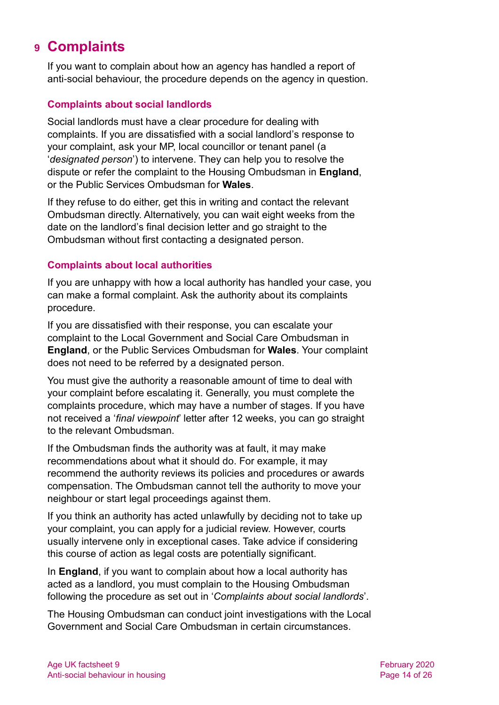# <span id="page-13-0"></span>**9 Complaints**

If you want to complain about how an agency has handled a report of anti-social behaviour, the procedure depends on the agency in question.

# **Complaints about social landlords**

Social landlords must have a clear procedure for dealing with complaints. If you are dissatisfied with a social landlord's response to your complaint, ask your MP, local councillor or tenant panel (a '*designated person*') to intervene. They can help you to resolve the dispute or refer the complaint to the Housing Ombudsman in **England**, or the Public Services Ombudsman for **Wales**.

If they refuse to do either, get this in writing and contact the relevant Ombudsman directly. Alternatively, you can wait eight weeks from the date on the landlord's final decision letter and go straight to the Ombudsman without first contacting a designated person.

# **Complaints about local authorities**

If you are unhappy with how a local authority has handled your case, you can make a formal complaint. Ask the authority about its complaints procedure.

If you are dissatisfied with their response, you can escalate your complaint to the [Local Government and Social Care Ombudsman](http://www.lgo.org.uk/) in **England**, or the [Public Services Ombudsman](http://www.ombudsman-wales.org.uk/) for **Wales**. Your complaint does not need to be referred by a designated person.

You must give the authority a reasonable amount of time to deal with your complaint before escalating it. Generally, you must complete the complaints procedure, which may have a number of stages. If you have not received a '*final viewpoint*' letter after 12 weeks, you can go straight to the relevant Ombudsman.

If the Ombudsman finds the authority was at fault, it may make recommendations about what it should do. For example, it may recommend the authority reviews its policies and procedures or awards compensation. The Ombudsman cannot tell the authority to move your neighbour or start legal proceedings against them.

If you think an authority has acted unlawfully by deciding not to take up your complaint, you can apply for a judicial review. However, courts usually intervene only in exceptional cases. Take advice if considering this course of action as legal costs are potentially significant.

In **England**, if you want to complain about how a local authority has acted as a landlord, you must complain to the Housing Ombudsman following the procedure as set out in '*Complaints about social landlords*'.

The Housing Ombudsman can conduct joint investigations with the Local Government and Social Care Ombudsman in certain circumstances.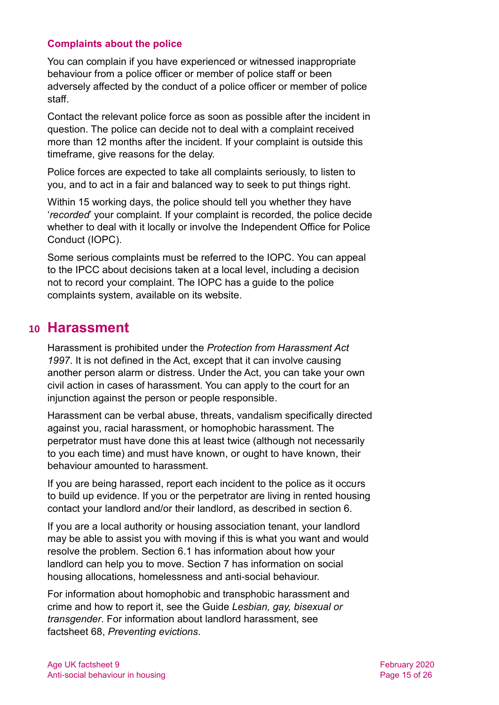#### **Complaints about the police**

You can complain if you have experienced or witnessed inappropriate behaviour from a police officer or member of police staff or been adversely affected by the conduct of a police officer or member of police staff.

Contact the relevant police force as soon as possible after the incident in question. The police can decide not to deal with a complaint received more than 12 months after the incident. If your complaint is outside this timeframe, give reasons for the delay.

Police forces are expected to take all complaints seriously, to listen to you, and to act in a fair and balanced way to seek to put things right.

Within 15 working days, the police should tell you whether they have '*recorded*' your complaint. If your complaint is recorded, the police decide whether to deal with it locally or involve the [Independent Office for Police](https://www.policeconduct.gov.uk/complaints-and-appeals/make-complaint)  [Conduct \(IOPC\).](https://www.policeconduct.gov.uk/complaints-and-appeals/make-complaint)

Some serious complaints must be referred to the IOPC. You can appeal to the IPCC about decisions taken at a local level, including a decision not to record your complaint. The IOPC has a guide to the police complaints system, available on its website.

# <span id="page-14-0"></span>**10 Harassment**

Harassment is prohibited under the *Protection from Harassment Act 1997*. It is not defined in the Act, except that it can involve causing another person alarm or distress. Under the Act, you can take your own civil action in cases of harassment. You can apply to the court for an injunction against the person or people responsible.

Harassment can be verbal abuse, threats, vandalism specifically directed against you, racial harassment, or homophobic harassment. The perpetrator must have done this at least twice (although not necessarily to you each time) and must have known, or ought to have known, their behaviour amounted to harassment.

If you are being harassed, report each incident to the police as it occurs to build up evidence. If you or the perpetrator are living in rented housing contact your landlord and/or their landlord, as described in [section 6.](#page-9-1)

If you are a local authority or housing association tenant, your landlord may be able to assist you with moving if this is what you want and would resolve the problem. [Section 6.1](#page-10-0) has information about how your landlord can help you to move. [Section 7](#page-11-0) has information on social housing allocations, homelessness and anti-social behaviour.

For information about homophobic and transphobic harassment and crime and how to report it, see the Guide *[Lesbian, gay, bisexual or](https://www.ageuk.org.uk/globalassets/age-uk/documents/information-guides/ageukig02_lesbian_gay_bisexual_transgender_inf.pdf)  [transgender](https://www.ageuk.org.uk/globalassets/age-uk/documents/information-guides/ageukig02_lesbian_gay_bisexual_transgender_inf.pdf)*. For information about landlord harassment, see [factsheet 68,](https://www.ageuk.org.uk/globalassets/age-uk/documents/factsheets/fs68_tenancy_rights_security_of_tenure_fcs.pdf) *Preventing evictions*.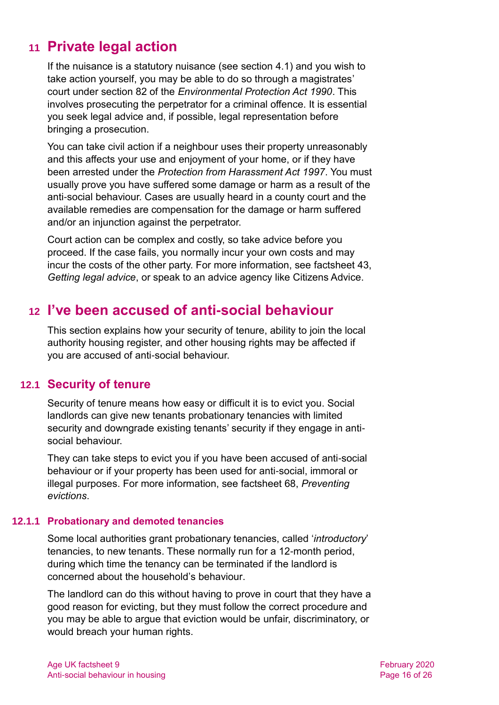# <span id="page-15-1"></span>**11 Private legal action**

If the nuisance is a statutory nuisance (see [section 4.1\)](#page-4-1) and you wish to take action yourself, you may be able to do so through a magistrates' court under section 82 of the *Environmental Protection Act 1990*. This involves prosecuting the perpetrator for a criminal offence. It is essential you seek legal advice and, if possible, legal representation before bringing a prosecution.

You can take civil action if a neighbour uses their property unreasonably and this affects your use and enjoyment of your home, or if they have been arrested under the *Protection from Harassment Act 1997*. You must usually prove you have suffered some damage or harm as a result of the anti-social behaviour. Cases are usually heard in a county court and the available remedies are compensation for the damage or harm suffered and/or an injunction against the perpetrator.

Court action can be complex and costly, so take advice before you proceed. If the case fails, you normally incur your own costs and may incur the costs of the other party. For more information, see [factsheet 43,](https://www.ageuk.org.uk/globalassets/age-uk/documents/factsheets/fs43_getting_legal_advice_fcs.pdf)  *[Getting legal advice](https://www.ageuk.org.uk/globalassets/age-uk/documents/factsheets/fs43_getting_legal_advice_fcs.pdf)*, or speak to an advice agency like [Citizens Advice.](http://www.citizensadvice.org.uk/)

# <span id="page-15-0"></span>**12 I've been accused of anti-social behaviour**

This section explains how your security of tenure, ability to join the local authority housing register, and other housing rights may be affected if you are accused of anti-social behaviour.

# **12.1 Security of tenure**

Security of tenure means how easy or difficult it is to evict you. Social landlords can give new tenants probationary tenancies with limited security and downgrade existing tenants' security if they engage in antisocial behaviour.

They can take steps to evict you if you have been accused of anti-social behaviour or if your property has been used for anti-social, immoral or illegal purposes. For more information, see [factsheet 68,](https://www.ageuk.org.uk/globalassets/age-uk/documents/factsheets/fs68_tenancy_rights_security_of_tenure_fcs.pdf) *Preventing [evictions](https://www.ageuk.org.uk/globalassets/age-uk/documents/factsheets/fs68_tenancy_rights_security_of_tenure_fcs.pdf)*.

# **12.1.1 Probationary and demoted tenancies**

Some local authorities grant probationary tenancies, called '*introductory*' tenancies, to new tenants. These normally run for a 12-month period, during which time the tenancy can be terminated if the landlord is concerned about the household's behaviour.

The landlord can do this without having to prove in court that they have a good reason for evicting, but they must follow the correct procedure and you may be able to argue that eviction would be unfair, discriminatory, or would breach your human rights.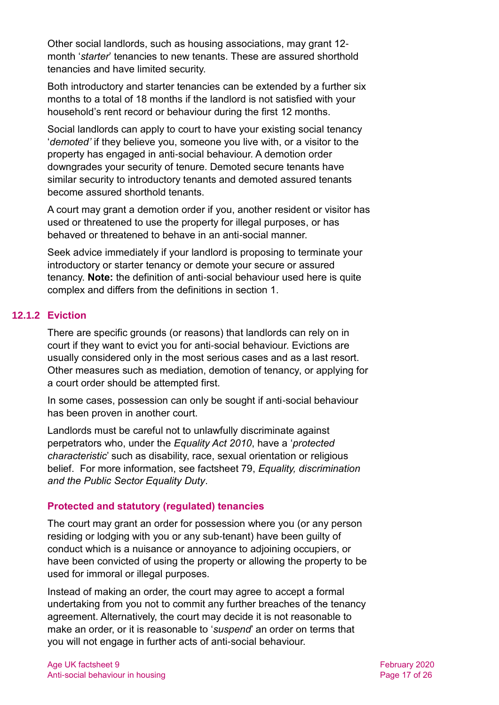Other social landlords, such as housing associations, may grant 12 month '*starter*' tenancies to new tenants. These are assured shorthold tenancies and have limited security.

Both introductory and starter tenancies can be extended by a further six months to a total of 18 months if the landlord is not satisfied with your household's rent record or behaviour during the first 12 months.

Social landlords can apply to court to have your existing social tenancy '*demoted'* if they believe you, someone you live with, or a visitor to the property has engaged in anti-social behaviour. A demotion order downgrades your security of tenure. Demoted secure tenants have similar security to introductory tenants and demoted assured tenants become assured shorthold tenants.

A court may grant a demotion order if you, another resident or visitor has used or threatened to use the property for illegal purposes, or has behaved or threatened to behave in an anti-social manner.

Seek advice immediately if your landlord is proposing to terminate your introductory or starter tenancy or demote your secure or assured tenancy. **Note:** the definition of anti-social behaviour used here is quite complex and differs from the definitions in [section 1.](#page-2-0)

# **12.1.2 Eviction**

There are specific grounds (or reasons) that landlords can rely on in court if they want to evict you for anti-social behaviour. Evictions are usually considered only in the most serious cases and as a last resort. Other measures such as mediation, demotion of tenancy, or applying for a court order should be attempted first.

In some cases, possession can only be sought if anti-social behaviour has been proven in another court.

Landlords must be careful not to unlawfully discriminate against perpetrators who, under the *Equality Act 2010*, have a '*protected characteristic*' such as disability, race, sexual orientation or religious belief. For more information, see factsheet 79, *[Equality, discrimination](https://www.ageuk.org.uk/globalassets/age-uk/documents/factsheets/fs79_equality_discrimination_and_the_public_sector_equality_duty_fcs.pdf)  [and the Public Sector Equality Duty](https://www.ageuk.org.uk/globalassets/age-uk/documents/factsheets/fs79_equality_discrimination_and_the_public_sector_equality_duty_fcs.pdf)*.

# **Protected and statutory (regulated) tenancies**

The court may grant an order for possession where you (or any person residing or lodging with you or any sub-tenant) have been guilty of conduct which is a nuisance or annoyance to adjoining occupiers, or have been convicted of using the property or allowing the property to be used for immoral or illegal purposes.

Instead of making an order, the court may agree to accept a formal undertaking from you not to commit any further breaches of the tenancy agreement. Alternatively, the court may decide it is not reasonable to make an order, or it is reasonable to '*suspend*' an order on terms that you will not engage in further acts of anti-social behaviour.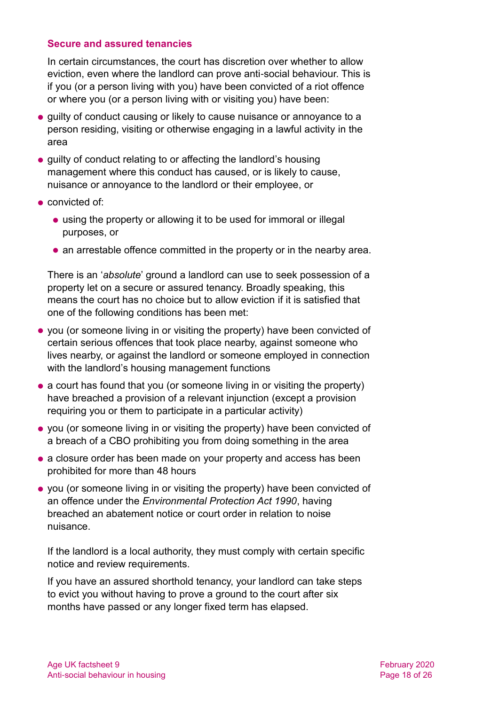#### **Secure and assured tenancies**

In certain circumstances, the court has discretion over whether to allow eviction, even where the landlord can prove anti-social behaviour. This is if you (or a person living with you) have been convicted of a riot offence or where you (or a person living with or visiting you) have been:

- $\bullet$  quilty of conduct causing or likely to cause nuisance or annoyance to a person residing, visiting or otherwise engaging in a lawful activity in the area
- guilty of conduct relating to or affecting the landlord's housing management where this conduct has caused, or is likely to cause, nuisance or annoyance to the landlord or their employee, or
- convicted of:
	- using the property or allowing it to be used for immoral or illegal purposes, or
	- an arrestable offence committed in the property or in the nearby area.

There is an '*absolute*' ground a landlord can use to seek possession of a property let on a secure or assured tenancy. Broadly speaking, this means the court has no choice but to allow eviction if it is satisfied that one of the following conditions has been met:

- you (or someone living in or visiting the property) have been convicted of certain serious offences that took place nearby, against someone who lives nearby, or against the landlord or someone employed in connection with the landlord's housing management functions
- a court has found that you (or someone living in or visiting the property) have breached a provision of a relevant injunction (except a provision requiring you or them to participate in a particular activity)
- you (or someone living in or visiting the property) have been convicted of a breach of a CBO prohibiting you from doing something in the area
- a closure order has been made on your property and access has been prohibited for more than 48 hours
- you (or someone living in or visiting the property) have been convicted of an offence under the *Environmental Protection Act 1990*, having breached an abatement notice or court order in relation to noise nuisance.

If the landlord is a local authority, they must comply with certain specific notice and review requirements.

If you have an assured shorthold tenancy, your landlord can take steps to evict you without having to prove a ground to the court after six months have passed or any longer fixed term has elapsed.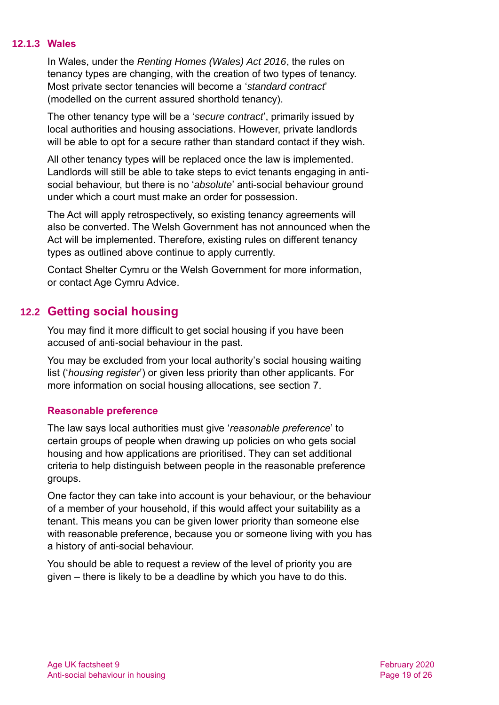#### **12.1.3 Wales**

In Wales, under the *Renting Homes (Wales) Act 2016*, the rules on tenancy types are changing, with the creation of two types of tenancy. Most private sector tenancies will become a '*standard contract*' (modelled on the current assured shorthold tenancy).

The other tenancy type will be a '*secure contract*', primarily issued by local authorities and housing associations. However, private landlords will be able to opt for a secure rather than standard contact if they wish.

All other tenancy types will be replaced once the law is implemented. Landlords will still be able to take steps to evict tenants engaging in antisocial behaviour, but there is no '*absolute*' anti-social behaviour ground under which a court must make an order for possession.

The Act will apply retrospectively, so existing tenancy agreements will also be converted. The Welsh Government has not announced when the Act will be implemented. Therefore, existing rules on different tenancy types as outlined above continue to apply currently.

Contact [Shelter Cymru](#page-22-0) or the [Welsh Government](#page-22-1) for more information, or contact Age Cymru Advice.

# **12.2 Getting social housing**

You may find it more difficult to get social housing if you have been accused of anti-social behaviour in the past.

You may be excluded from your local authority's social housing waiting list ('*housing register*') or given less priority than other applicants. For more information on social housing allocations, see [section 7.](#page-11-0)

# **Reasonable preference**

The law says local authorities must give '*reasonable preference*' to certain groups of people when drawing up policies on who gets social housing and how applications are prioritised. They can set additional criteria to help distinguish between people in the reasonable preference groups.

One factor they can take into account is your behaviour, or the behaviour of a member of your household, if this would affect your suitability as a tenant. This means you can be given lower priority than someone else with reasonable preference, because you or someone living with you has a history of anti-social behaviour.

You should be able to request a review of the level of priority you are given – there is likely to be a deadline by which you have to do this.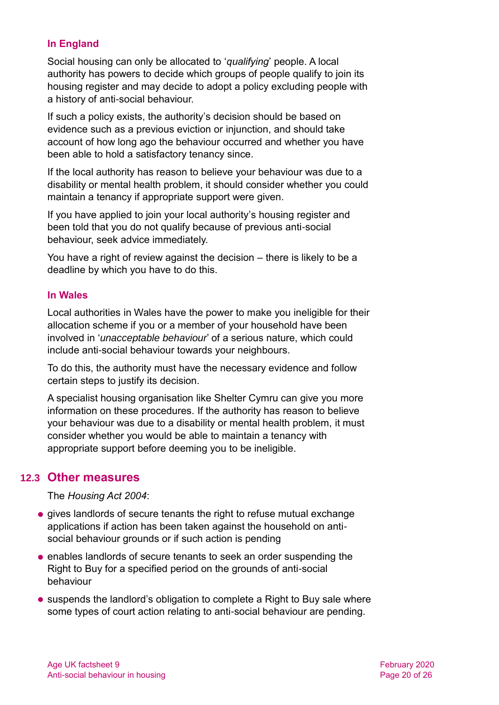# **In England**

Social housing can only be allocated to '*qualifying*' people. A local authority has powers to decide which groups of people qualify to join its housing register and may decide to adopt a policy excluding people with a history of anti-social behaviour.

If such a policy exists, the authority's decision should be based on evidence such as a previous eviction or injunction, and should take account of how long ago the behaviour occurred and whether you have been able to hold a satisfactory tenancy since.

If the local authority has reason to believe your behaviour was due to a disability or mental health problem, it should consider whether you could maintain a tenancy if appropriate support were given.

If you have applied to join your local authority's housing register and been told that you do not qualify because of previous anti-social behaviour, seek advice immediately.

You have a right of review against the decision – there is likely to be a deadline by which you have to do this.

# **In Wales**

Local authorities in Wales have the power to make you ineligible for their allocation scheme if you or a member of your household have been involved in '*unacceptable behaviour*' of a serious nature, which could include anti-social behaviour towards your neighbours.

To do this, the authority must have the necessary evidence and follow certain steps to justify its decision.

A specialist housing organisation like Shelter Cymru can give you more information on these procedures. If the authority has reason to believe your behaviour was due to a disability or mental health problem, it must consider whether you would be able to maintain a tenancy with appropriate support before deeming you to be ineligible.

# **12.3 Other measures**

The *Housing Act 2004*:

- gives landlords of secure tenants the right to refuse mutual exchange applications if action has been taken against the household on antisocial behaviour grounds or if such action is pending
- enables landlords of secure tenants to seek an order suspending the Right to Buy for a specified period on the grounds of anti-social behaviour
- suspends the landlord's obligation to complete a Right to Buy sale where some types of court action relating to anti-social behaviour are pending.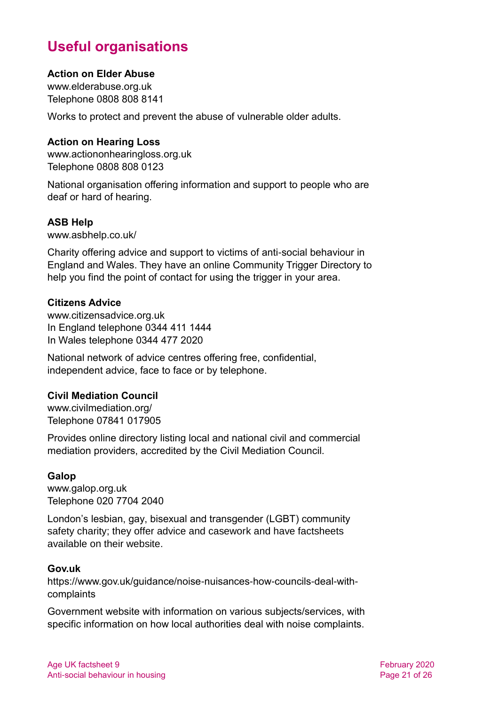# **Useful organisations**

#### <span id="page-20-0"></span>**Action on Elder Abuse**

[www.elderabuse.org.uk](http://www.elderabuse.org.uk/) Telephone 0808 808 8141

Works to protect and prevent the abuse of vulnerable older adults.

#### **Action on Hearing Loss**

[www.actiononhearingloss.org.uk](http://www.actiononhearingloss.org.uk/) Telephone 0808 808 0123

National organisation offering information and support to people who are deaf or hard of hearing.

#### **ASB Help**

[www.asbhelp.co.uk/](http://www.asbhelp.co.uk/)

Charity offering advice and support to victims of anti-social behaviour in England and Wales. They have an online Community Trigger Directory to help you find the point of contact for using the trigger in your area.

#### **Citizens Advice**

[www.citizensadvice.org.uk](http://www.citizensadvice.org.uk/) In England telephone 0344 411 1444 In Wales telephone 0344 477 2020

National network of advice centres offering free, confidential, independent advice, face to face or by telephone.

#### **Civil Mediation Council**

[www.civilmediation.org/](http://www.civilmediation.org/) Telephone 07841 017905

Provides online directory listing local and national civil and commercial mediation providers, accredited by the Civil Mediation Council.

# **Galop**

[www.galop.org.uk](http://www.galop.org.uk/) Telephone 020 7704 2040

London's lesbian, gay, bisexual and transgender (LGBT) community safety charity; they offer advice and casework and have factsheets available on their website.

#### **Gov.uk**

[https://www.gov.uk/guidance/noise-nuisances-how-councils-deal-with](https://www.gov.uk/guidance/noise-nuisances-how-councils-deal-with-complaints)[complaints](https://www.gov.uk/guidance/noise-nuisances-how-councils-deal-with-complaints)

Government website with information on various subjects/services, with specific information on how local authorities deal with noise complaints.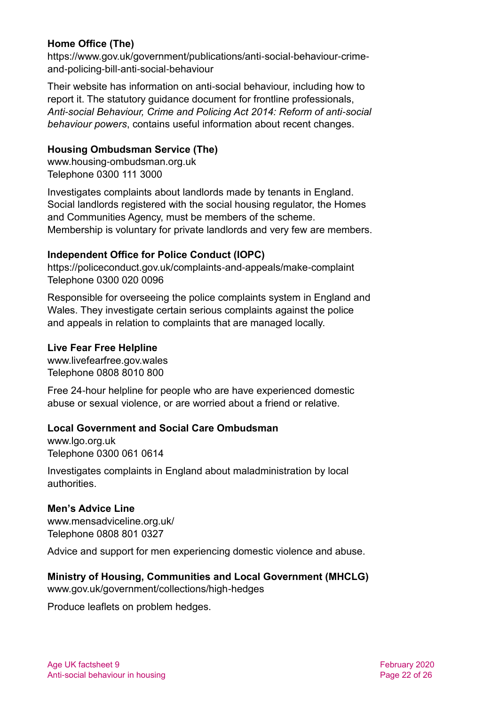# **Home Office (The)**

[https://www.gov.uk/government/publications/anti-social-behaviour-crime](https://www.gov.uk/government/publications/anti-social-behaviour-crime-and-policing-bill-anti-social-behaviour)[and-policing-bill-anti-social-behaviour](https://www.gov.uk/government/publications/anti-social-behaviour-crime-and-policing-bill-anti-social-behaviour)

Their website has information on anti-social behaviour, including how to report it. The statutory guidance document for frontline professionals, *[Anti-social Behaviour, Crime and Policing Act 2014: Reform of anti-social](https://assets.publishing.service.gov.uk/government/uploads/system/uploads/attachment_data/file/823316/2019-08-05_ASB_Revised_Statutory_Guidance_V2.2.pdf)  [behaviour powers](https://assets.publishing.service.gov.uk/government/uploads/system/uploads/attachment_data/file/823316/2019-08-05_ASB_Revised_Statutory_Guidance_V2.2.pdf)*, contains useful information about recent changes.

# **Housing Ombudsman Service (The)**

[www.housing-ombudsman.org.uk](http://www.housing-ombudsman.org.uk/) Telephone 0300 111 3000

Investigates complaints about landlords made by tenants in England. Social landlords registered with the social housing regulator, the Homes and Communities Agency, must be members of the scheme. Membership is voluntary for private landlords and very few are members.

# **Independent Office for Police Conduct (IOPC)**

<https://policeconduct.gov.uk/complaints-and-appeals/make-complaint> Telephone 0300 020 0096

Responsible for overseeing the police complaints system in England and Wales. They investigate certain serious complaints against the police and appeals in relation to complaints that are managed locally.

# **Live Fear Free Helpline**

[www.livefearfree.gov.wales](http://www.livefearfree.gov.wales/) Telephone 0808 8010 800

Free 24-hour helpline for people who are have experienced domestic abuse or sexual violence, or are worried about a friend or relative.

# **Local Government and Social Care Ombudsman**

[www.lgo.org.uk](http://www.lgo.org.uk/) Telephone 0300 061 0614

Investigates complaints in England about maladministration by local authorities.

# **Men's Advice Line**

[www.mensadviceline.org.uk/](http://www.mensadviceline.org.uk/) Telephone 0808 801 0327

Advice and support for men experiencing domestic violence and abuse.

# **Ministry of Housing, Communities and Local Government (MHCLG)**

[www.gov.uk/government/collections/high-hedges](http://www.gov.uk/government/collections/high-hedges)

Produce leaflets on problem hedges.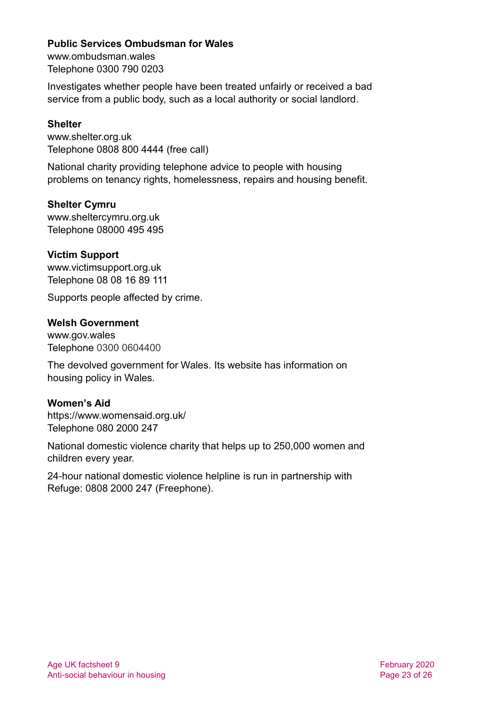#### **Public Services Ombudsman for Wales**

[www.ombudsman.wales](http://www.ombudsman.wales/) Telephone 0300 790 0203

Investigates whether people have been treated unfairly or received a bad service from a public body, such as a local authority or social landlord.

#### **Shelter**

[www.shelter.org.uk](http://www.shelter.org.uk/) Telephone 0808 800 4444 (free call)

National charity providing telephone advice to people with housing problems on tenancy rights, homelessness, repairs and housing benefit.

#### <span id="page-22-0"></span>**Shelter Cymru**

[www.sheltercymru.org.uk](http://www.sheltercymru.org.uk/) Telephone 08000 495 495

#### **Victim Support**

[www.victimsupport.org.uk](http://www.victimsupport.org.uk/) Telephone 08 08 16 89 111

<span id="page-22-1"></span>Supports people affected by crime.

#### **Welsh Government**

[www.gov.wales](http://www.gov.wales/) Telephone 0300 0604400

The devolved government for Wales. Its website has information on housing policy in Wales.

#### **Women's Aid**

<https://www.womensaid.org.uk/> Telephone 080 2000 247

National domestic violence charity that helps up to 250,000 women and children every year.

24-hour national domestic violence helpline is run in partnership with Refuge: 0808 2000 247 (Freephone).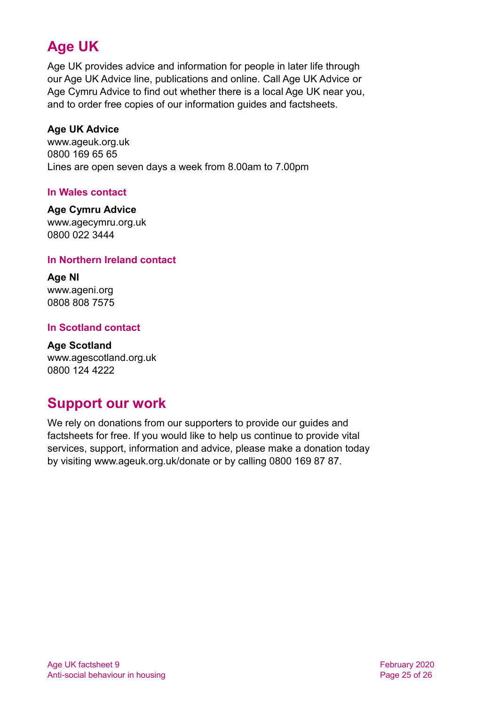# **Age UK**

Age UK provides advice and information for people in later life through our Age UK Advice line, publications and online. Call Age UK Advice or Age Cymru Advice to find out whether there is a local Age UK near you, and to order free copies of our information guides and factsheets.

# <span id="page-24-1"></span>**Age UK Advice**

[www.ageuk.org.uk](http://www.ageuk.org.uk/) 0800 169 65 65 Lines are open seven days a week from 8.00am to 7.00pm

# **In Wales contact**

#### **Age Cymru Advice**

[www.agecymru.org.uk](http://www.agecymru.org.uk/) 0800 022 3444

# **In Northern Ireland contact**

**Age NI** [www.ageni.org](http://www.ageni.org/) 0808 808 7575

# <span id="page-24-0"></span>**In Scotland contact**

<span id="page-24-2"></span>**Age Scotland** [www.agescotland.org.uk](http://www.agescotland.org.uk/) 0800 124 4222

# **Support our work**

We rely on donations from our supporters to provide our guides and factsheets for free. If you would like to help us continue to provide vital services, support, information and advice, please make a donation today by visiting [www.ageuk.org.uk/donate](http://www.ageuk.org.uk/donate) or by calling 0800 169 87 87.